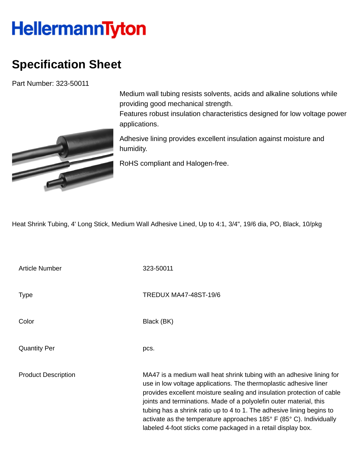## **HellermannTyton**

## **Specification Sheet**

Part Number: 323-50011



Medium wall tubing resists solvents, acids and alkaline solutions while providing good mechanical strength.

Features robust insulation characteristics designed for low voltage power applications.

Adhesive lining provides excellent insulation against moisture and humidity.

RoHS compliant and Halogen-free.

Heat Shrink Tubing, 4' Long Stick, Medium Wall Adhesive Lined, Up to 4:1, 3/4", 19/6 dia, PO, Black, 10/pkg

Article Number 323-50011 Type Type Type TREDUX MA47-48ST-19/6 Color Black (BK) Quantity Per pcs. Product Description MA47 is a medium wall heat shrink tubing with an adhesive lining for use in low voltage applications. The thermoplastic adhesive liner provides excellent moisture sealing and insulation protection of cable joints and terminations. Made of a polyolefin outer material, this tubing has a shrink ratio up to 4 to 1. The adhesive lining begins to activate as the temperature approaches 185° F (85° C). Individually labeled 4-foot sticks come packaged in a retail display box.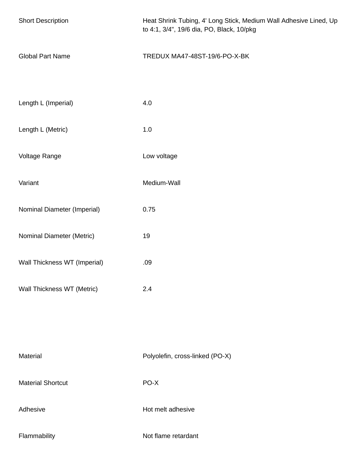| <b>Short Description</b>     | Heat Shrink Tubing, 4' Long Stick, Medium Wall Adhesive Lined, Up<br>to 4:1, 3/4", 19/6 dia, PO, Black, 10/pkg |
|------------------------------|----------------------------------------------------------------------------------------------------------------|
| <b>Global Part Name</b>      | TREDUX MA47-48ST-19/6-PO-X-BK                                                                                  |
| Length L (Imperial)          | 4.0                                                                                                            |
| Length L (Metric)            | 1.0                                                                                                            |
| Voltage Range                | Low voltage                                                                                                    |
| Variant                      | Medium-Wall                                                                                                    |
| Nominal Diameter (Imperial)  | 0.75                                                                                                           |
| Nominal Diameter (Metric)    | 19                                                                                                             |
| Wall Thickness WT (Imperial) | .09                                                                                                            |
| Wall Thickness WT (Metric)   | 2.4                                                                                                            |
|                              |                                                                                                                |
| Material                     | Polyolefin, cross-linked (PO-X)                                                                                |
| <b>Material Shortcut</b>     | PO-X                                                                                                           |
| Adhesive                     | Hot melt adhesive                                                                                              |
| Flammability                 | Not flame retardant                                                                                            |